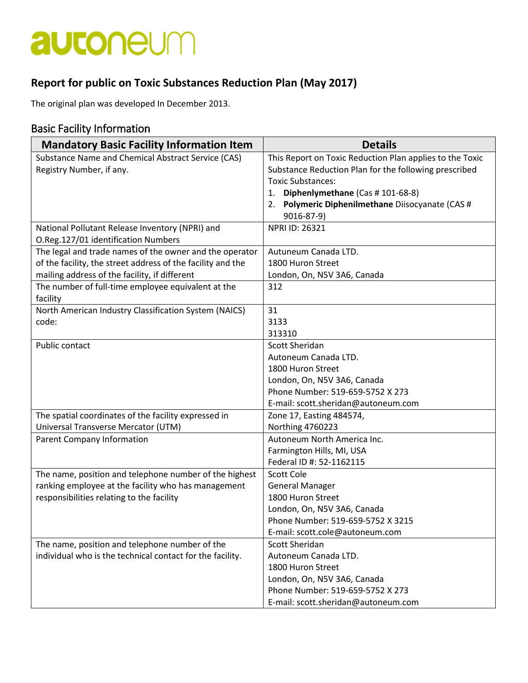## autoneum

### **Report for public on Toxic Substances Reduction Plan (May 2017)**

The original plan was developed In December 2013.

### Basic Facility Information

| <b>Mandatory Basic Facility Information Item</b>            | <b>Details</b>                                           |  |  |
|-------------------------------------------------------------|----------------------------------------------------------|--|--|
| Substance Name and Chemical Abstract Service (CAS)          | This Report on Toxic Reduction Plan applies to the Toxic |  |  |
| Registry Number, if any.                                    | Substance Reduction Plan for the following prescribed    |  |  |
|                                                             | <b>Toxic Substances:</b>                                 |  |  |
|                                                             | Diphenlymethane (Cas # 101-68-8)<br>1.                   |  |  |
|                                                             | Polymeric Diphenilmethane Diisocyanate (CAS #<br>2.      |  |  |
|                                                             | 9016-87-9)                                               |  |  |
| National Pollutant Release Inventory (NPRI) and             | <b>NPRI ID: 26321</b>                                    |  |  |
| O.Reg.127/01 identification Numbers                         |                                                          |  |  |
| The legal and trade names of the owner and the operator     | Autuneum Canada LTD.                                     |  |  |
| of the facility, the street address of the facility and the | 1800 Huron Street                                        |  |  |
| mailing address of the facility, if different               | London, On, N5V 3A6, Canada                              |  |  |
| The number of full-time employee equivalent at the          | 312                                                      |  |  |
| facility                                                    |                                                          |  |  |
| North American Industry Classification System (NAICS)       | 31                                                       |  |  |
| code:                                                       | 3133                                                     |  |  |
|                                                             | 313310                                                   |  |  |
| Public contact                                              | <b>Scott Sheridan</b>                                    |  |  |
|                                                             | Autoneum Canada LTD.                                     |  |  |
|                                                             | 1800 Huron Street                                        |  |  |
|                                                             | London, On, N5V 3A6, Canada                              |  |  |
|                                                             | Phone Number: 519-659-5752 X 273                         |  |  |
|                                                             | E-mail: scott.sheridan@autoneum.com                      |  |  |
| The spatial coordinates of the facility expressed in        | Zone 17, Easting 484574,                                 |  |  |
| Universal Transverse Mercator (UTM)                         | Northing 4760223                                         |  |  |
| Parent Company Information                                  | Autoneum North America Inc.                              |  |  |
|                                                             | Farmington Hills, MI, USA                                |  |  |
|                                                             | Federal ID #: 52-1162115                                 |  |  |
| The name, position and telephone number of the highest      | <b>Scott Cole</b>                                        |  |  |
| ranking employee at the facility who has management         | <b>General Manager</b>                                   |  |  |
| responsibilities relating to the facility                   | 1800 Huron Street                                        |  |  |
|                                                             | London, On, N5V 3A6, Canada                              |  |  |
|                                                             | Phone Number: 519-659-5752 X 3215                        |  |  |
|                                                             | E-mail: scott.cole@autoneum.com                          |  |  |
| The name, position and telephone number of the              | Scott Sheridan                                           |  |  |
| individual who is the technical contact for the facility.   | Autoneum Canada LTD.                                     |  |  |
|                                                             | 1800 Huron Street                                        |  |  |
|                                                             | London, On, N5V 3A6, Canada                              |  |  |
|                                                             | Phone Number: 519-659-5752 X 273                         |  |  |
|                                                             | E-mail: scott.sheridan@autoneum.com                      |  |  |